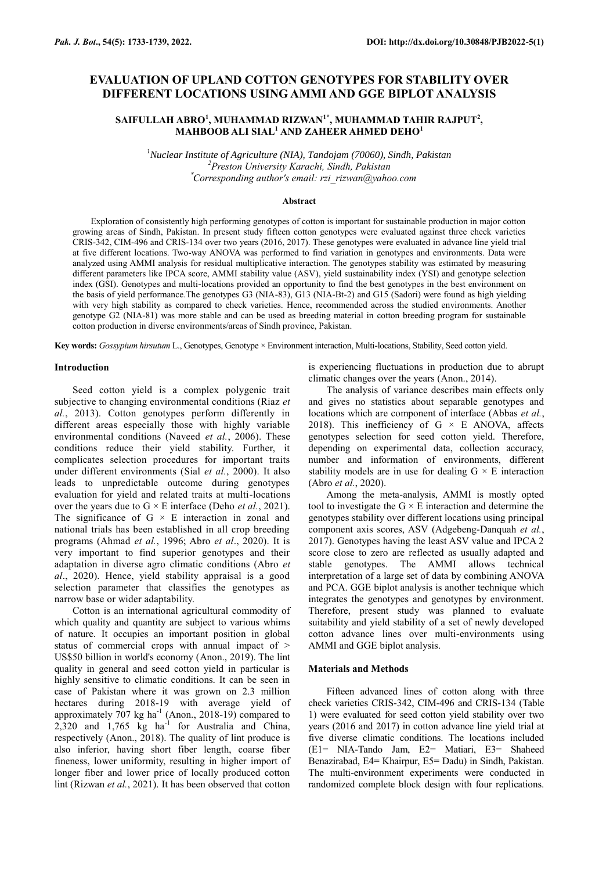# **EVALUATION OF UPLAND COTTON GENOTYPES FOR STABILITY OVER DIFFERENT LOCATIONS USING AMMI AND GGE BIPLOT ANALYSIS**

## **SAIFULLAH ABRO<sup>1</sup> , MUHAMMAD RIZWAN1\* , MUHAMMAD TAHIR RAJPUT<sup>2</sup> , MAHBOOB ALI SIAL<sup>1</sup> AND ZAHEER AHMED DEHO<sup>1</sup>**

*<sup>1</sup>Nuclear Institute of Agriculture (NIA), Tandojam (70060), Sindh, Pakistan <sup>2</sup>Preston University Karachi, Sindh, Pakistan* \**Corresponding author's email: rzi\_rizwan@yahoo.com*

#### **Abstract**

Exploration of consistently high performing genotypes of cotton is important for sustainable production in major cotton growing areas of Sindh, Pakistan. In present study fifteen cotton genotypes were evaluated against three check varieties CRIS-342, CIM-496 and CRIS-134 over two years (2016, 2017). These genotypes were evaluated in advance line yield trial at five different locations. Two-way ANOVA was performed to find variation in genotypes and environments. Data were analyzed using AMMI analysis for residual multiplicative interaction. The genotypes stability was estimated by measuring different parameters like IPCA score, AMMI stability value (ASV), yield sustainability index (YSI) and genotype selection index (GSI). Genotypes and multi-locations provided an opportunity to find the best genotypes in the best environment on the basis of yield performance.The genotypes G3 (NIA-83), G13 (NIA-Bt-2) and G15 (Sadori) were found as high yielding with very high stability as compared to check varieties. Hence, recommended across the studied environments. Another genotype G2 (NIA-81) was more stable and can be used as breeding material in cotton breeding program for sustainable cotton production in diverse environments/areas of Sindh province, Pakistan.

**Key words:** *Gossypium hirsutum* L., Genotypes, Genotype × Environment interaction, Multi-locations, Stability, Seed cotton yield.

### **Introduction**

Seed cotton yield is a complex polygenic trait subjective to changing environmental conditions (Riaz *et al.*, 2013). Cotton genotypes perform differently in different areas especially those with highly variable environmental conditions (Naveed *et al.*, 2006). These conditions reduce their yield stability. Further, it complicates selection procedures for important traits under different environments (Sial *et al.*, 2000). It also leads to unpredictable outcome during genotypes evaluation for yield and related traits at multi-locations over the years due to G × E interface (Deho *et al.*, 2021). The significance of G  $\times$  E interaction in zonal and national trials has been established in all crop breeding programs (Ahmad *et al.*, 1996; Abro *et al*., 2020). It is very important to find superior genotypes and their adaptation in diverse agro climatic conditions (Abro *et al*., 2020). Hence, yield stability appraisal is a good selection parameter that classifies the genotypes as narrow base or wider adaptability.

Cotton is an international agricultural commodity of which quality and quantity are subject to various whims of nature. It occupies an important position in global status of commercial crops with annual impact of > US\$50 billion in world's economy (Anon., 2019). The lint quality in general and seed cotton yield in particular is highly sensitive to climatic conditions. It can be seen in case of Pakistan where it was grown on 2.3 million hectares during 2018-19 with average yield of approximately  $707 \text{ kg}$  ha<sup>-1</sup> (Anon., 2018-19) compared to  $2,320$  and  $1,765$  kg ha<sup>-1</sup> for Australia and China, respectively (Anon., 2018). The quality of lint produce is also inferior, having short fiber length, coarse fiber fineness, lower uniformity, resulting in higher import of longer fiber and lower price of locally produced cotton lint (Rizwan *et al.*, 2021). It has been observed that cotton

is experiencing fluctuations in production due to abrupt climatic changes over the years (Anon., 2014).

The analysis of variance describes main effects only and gives no statistics about separable genotypes and locations which are component of interface (Abbas *et al.*, 2018). This inefficiency of G  $\times$  E ANOVA, affects genotypes selection for seed cotton yield. Therefore, depending on experimental data, collection accuracy, number and information of environments, different stability models are in use for dealing  $G \times E$  interaction (Abro *et al.*, 2020).

Among the meta-analysis, AMMI is mostly opted tool to investigate the  $G \times E$  interaction and determine the genotypes stability over different locations using principal component axis scores, ASV (Adgebeng-Danquah *et al.*, 2017). Genotypes having the least ASV value and IPCA 2 score close to zero are reflected as usually adapted and stable genotypes. The AMMI allows technical interpretation of a large set of data by combining ANOVA and PCA. GGE biplot analysis is another technique which integrates the genotypes and genotypes by environment. Therefore, present study was planned to evaluate suitability and yield stability of a set of newly developed cotton advance lines over multi-environments using AMMI and GGE biplot analysis.

## **Materials and Methods**

Fifteen advanced lines of cotton along with three check varieties CRIS-342, CIM-496 and CRIS-134 (Table 1) were evaluated for seed cotton yield stability over two years (2016 and 2017) in cotton advance line yield trial at five diverse climatic conditions. The locations included (E1= NIA-Tando Jam, E2= Matiari, E3= Shaheed Benazirabad, E4= Khairpur, E5= Dadu) in Sindh, Pakistan. The multi-environment experiments were conducted in randomized complete block design with four replications.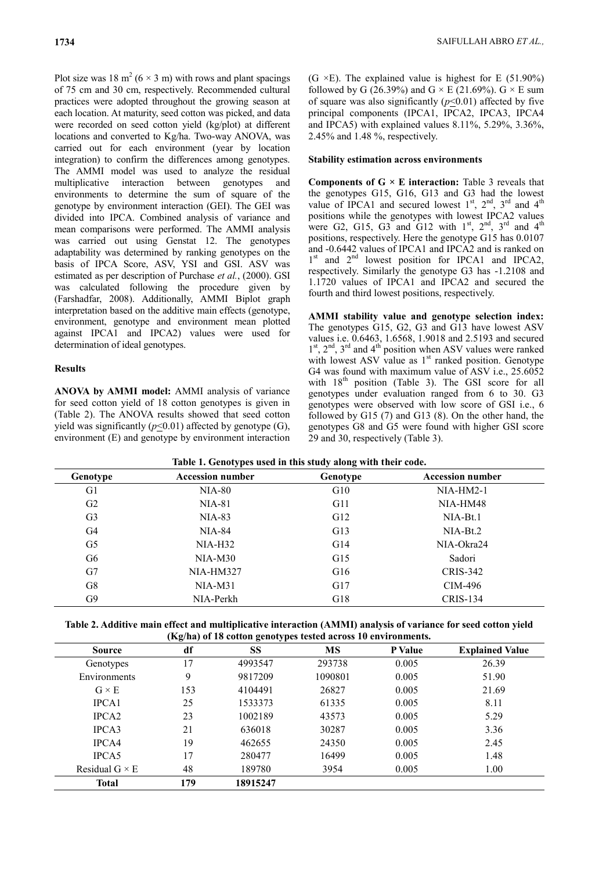Plot size was 18 m<sup>2</sup> ( $6 \times 3$  m) with rows and plant spacings of 75 cm and 30 cm, respectively. Recommended cultural practices were adopted throughout the growing season at each location. At maturity, seed cotton was picked, and data were recorded on seed cotton yield (kg/plot) at different locations and converted to Kg/ha. Two-way ANOVA, was carried out for each environment (year by location integration) to confirm the differences among genotypes. The AMMI model was used to analyze the residual multiplicative interaction between genotypes and environments to determine the sum of square of the genotype by environment interaction (GEI). The GEI was divided into IPCA. Combined analysis of variance and mean comparisons were performed. The AMMI analysis was carried out using Genstat 12. The genotypes adaptability was determined by ranking genotypes on the basis of IPCA Score, ASV, YSI and GSI. ASV was estimated as per description of Purchase *et al.*, (2000). GSI was calculated following the procedure given by (Farshadfar, 2008). Additionally, AMMI Biplot graph interpretation based on the additive main effects (genotype, environment, genotype and environment mean plotted against IPCA1 and IPCA2) values were used for determination of ideal genotypes.

## **Results**

**ANOVA by AMMI model:** AMMI analysis of variance for seed cotton yield of 18 cotton genotypes is given in (Table 2). The ANOVA results showed that seed cotton yield was significantly  $(p \le 0.01)$  affected by genotype (G), environment (E) and genotype by environment interaction (G  $\times$ E). The explained value is highest for E (51.90%) followed by G (26.39%) and G  $\times$  E (21.69%). G  $\times$  E sum of square was also significantly  $(p \le 0.01)$  affected by five principal components (IPCA1, IPCA2, IPCA3, IPCA4 and IPCA5) with explained values 8.11%, 5.29%, 3.36%, 2.45% and 1.48 %, respectively.

### **Stability estimation across environments**

**Components of G × E interaction:** Table 3 reveals that the genotypes G15, G16, G13 and G3 had the lowest value of IPCA1 and secured lowest  $1<sup>st</sup>$ ,  $2<sup>nd</sup>$ ,  $3<sup>rd</sup>$  and  $4<sup>th</sup>$ positions while the genotypes with lowest IPCA2 values were G2, G15, G3 and G12 with  $1<sup>st</sup>$ ,  $2<sup>nd</sup>$ ,  $3<sup>rd</sup>$  and  $4<sup>th</sup>$ positions, respectively. Here the genotype G15 has 0.0107 and -0.6442 values of IPCA1 and IPCA2 and is ranked on 1<sup>st</sup> and 2<sup>nd</sup> lowest position for IPCA1 and IPCA2, respectively. Similarly the genotype G3 has -1.2108 and 1.1720 values of IPCA1 and IPCA2 and secured the fourth and third lowest positions, respectively.

**AMMI stability value and genotype selection index:**  The genotypes G15, G2, G3 and G13 have lowest ASV values i.e. 0.6463, 1.6568, 1.9018 and 2.5193 and secured 1<sup>st</sup>, 2<sup>nd</sup>, 3<sup>rd</sup> and 4<sup>th</sup> position when ASV values were ranked with lowest ASV value as  $1<sup>st</sup>$  ranked position. Genotype G4 was found with maximum value of ASV i.e., 25.6052 with  $18^{th}$  position (Table 3). The GSI score for all genotypes under evaluation ranged from 6 to 30. G3 genotypes were observed with low score of GSI i.e., 6 followed by G15 (7) and G13 (8). On the other hand, the genotypes G8 and G5 were found with higher GSI score 29 and 30, respectively (Table 3).

| Genotype       | . .<br><b>Accession number</b> | $\epsilon$<br>$\bullet$<br>Genotype | <b>Accession number</b> |
|----------------|--------------------------------|-------------------------------------|-------------------------|
| G <sub>1</sub> | <b>NIA-80</b>                  | G10                                 | $NIA-HM2-1$             |
| G <sub>2</sub> | NIA-81                         | G11                                 | NIA-HM48                |
| G <sub>3</sub> | $NIA-83$                       | G12                                 | $NIA-Bt.1$              |
| G <sub>4</sub> | <b>NIA-84</b>                  | G13                                 | $NIA-Bt.2$              |
| G <sub>5</sub> | $NIA-H32$                      | G14                                 | NIA-Okra24              |
| G <sub>6</sub> | $NIA-M30$                      | G15                                 | Sadori                  |
| G7             | <b>NIA-HM327</b>               | G16                                 | CRIS-342                |
| G8             | $NIA-M31$                      | G17                                 | CIM-496                 |
| G9             | NIA-Perkh                      | G18                                 | <b>CRIS-134</b>         |

| Table 2. Additive main effect and multiplicative interaction (AMMI) analysis of variance for seed cotton yield |  |  |  |  |  |  |
|----------------------------------------------------------------------------------------------------------------|--|--|--|--|--|--|
| (Kg/ha) of 18 cotton genotypes tested across 10 environments.                                                  |  |  |  |  |  |  |

| (Kg/ha) of to cotton genotypes tested across to environments. |     |          |         |         |                        |  |  |
|---------------------------------------------------------------|-----|----------|---------|---------|------------------------|--|--|
| <b>Source</b>                                                 | df  | SS       | MS      | P Value | <b>Explained Value</b> |  |  |
| Genotypes                                                     | 17  | 4993547  | 293738  | 0.005   | 26.39                  |  |  |
| Environments                                                  | 9   | 9817209  | 1090801 | 0.005   | 51.90                  |  |  |
| $G \times E$                                                  | 153 | 4104491  | 26827   | 0.005   | 21.69                  |  |  |
| IPCA1                                                         | 25  | 1533373  | 61335   | 0.005   | 8.11                   |  |  |
| IPCA <sub>2</sub>                                             | 23  | 1002189  | 43573   | 0.005   | 5.29                   |  |  |
| IPCA3                                                         | 21  | 636018   | 30287   | 0.005   | 3.36                   |  |  |
| IPCA4                                                         | 19  | 462655   | 24350   | 0.005   | 2.45                   |  |  |
| IPCA5                                                         | 17  | 280477   | 16499   | 0.005   | 1.48                   |  |  |
| Residual $G \times E$                                         | 48  | 189780   | 3954    | 0.005   | 1.00                   |  |  |
| Total                                                         | 179 | 18915247 |         |         |                        |  |  |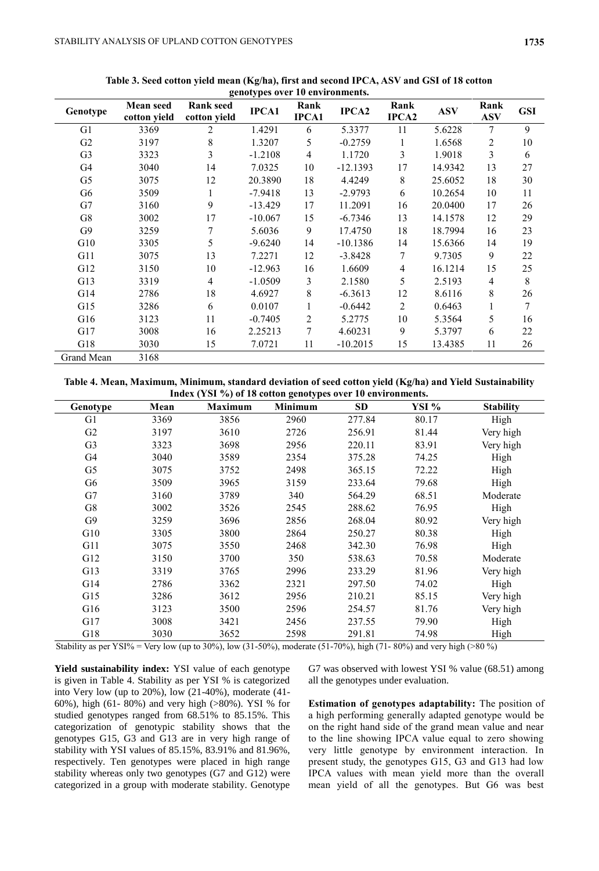| genotypes over 10 environments. |                                  |                                  |              |                      |                   |               |            |                    |            |
|---------------------------------|----------------------------------|----------------------------------|--------------|----------------------|-------------------|---------------|------------|--------------------|------------|
| Genotype                        | <b>Mean seed</b><br>cotton yield | <b>Rank seed</b><br>cotton yield | <b>IPCA1</b> | Rank<br><b>IPCA1</b> | IPCA <sub>2</sub> | Rank<br>IPCA2 | <b>ASV</b> | Rank<br><b>ASV</b> | <b>GSI</b> |
| G1                              | 3369                             | 2                                | 1.4291       | 6                    | 5.3377            | 11            | 5.6228     | 7                  | 9          |
| G2                              | 3197                             | 8                                | 1.3207       | 5                    | $-0.2759$         | 1             | 1.6568     | 2                  | 10         |
| G <sub>3</sub>                  | 3323                             | 3                                | $-1.2108$    | $\overline{4}$       | 1.1720            | 3             | 1.9018     | 3                  | 6          |
| G4                              | 3040                             | 14                               | 7.0325       | 10                   | $-12.1393$        | 17            | 14.9342    | 13                 | 27         |
| G <sub>5</sub>                  | 3075                             | 12                               | 20.3890      | 18                   | 4.4249            | 8             | 25.6052    | 18                 | 30         |
| G6                              | 3509                             |                                  | $-7.9418$    | 13                   | $-2.9793$         | 6             | 10.2654    | 10                 | 11         |
| G7                              | 3160                             | 9                                | $-13.429$    | 17                   | 11.2091           | 16            | 20.0400    | 17                 | 26         |
| G8                              | 3002                             | 17                               | $-10.067$    | 15                   | $-6.7346$         | 13            | 14.1578    | 12                 | 29         |
| G9                              | 3259                             | 7                                | 5.6036       | 9                    | 17.4750           | 18            | 18.7994    | 16                 | 23         |
| G10                             | 3305                             | 5                                | $-9.6240$    | 14                   | $-10.1386$        | 14            | 15.6366    | 14                 | 19         |
| G11                             | 3075                             | 13                               | 7.2271       | 12                   | $-3.8428$         | 7             | 9.7305     | 9                  | 22         |
| G12                             | 3150                             | 10                               | $-12.963$    | 16                   | 1.6609            | 4             | 16.1214    | 15                 | 25         |
| G13                             | 3319                             | $\overline{4}$                   | $-1.0509$    | 3                    | 2.1580            | 5             | 2.5193     | $\overline{4}$     | 8          |
| G14                             | 2786                             | 18                               | 4.6927       | 8                    | $-6.3613$         | 12            | 8.6116     | 8                  | 26         |
| G15                             | 3286                             | 6                                | 0.0107       | 1                    | $-0.6442$         | 2             | 0.6463     | 1                  | $\tau$     |
| G16                             | 3123                             | 11                               | $-0.7405$    | $\overline{2}$       | 5.2775            | 10            | 5.3564     | 5                  | 16         |
| G17                             | 3008                             | 16                               | 2.25213      | 7                    | 4.60231           | 9             | 5.3797     | 6                  | 22         |
| G18                             | 3030                             | 15                               | 7.0721       | 11                   | $-10.2015$        | 15            | 13.4385    | 11                 | 26         |
| Grand Mean                      | 3168                             |                                  |              |                      |                   |               |            |                    |            |

**Table 3. Seed cotton yield mean (Kg/ha), first and second IPCA, ASV and GSI of 18 cotton** 

**Table 4. Mean, Maximum, Minimum, standard deviation of seed cotton yield (Kg/ha) and Yield Sustainability Index (YSI %) of 18 cotton genotypes over 10 environments.**

| Genotype       | Mean | <b>Maximum</b> | <b>Minimum</b> | <b>SD</b> | YSI % | <b>Stability</b> |
|----------------|------|----------------|----------------|-----------|-------|------------------|
| G1             | 3369 | 3856           | 2960           | 277.84    | 80.17 | High             |
| G2             | 3197 | 3610           | 2726           | 256.91    | 81.44 | Very high        |
| G <sub>3</sub> | 3323 | 3698           | 2956           | 220.11    | 83.91 | Very high        |
| G4             | 3040 | 3589           | 2354           | 375.28    | 74.25 | High             |
| G5             | 3075 | 3752           | 2498           | 365.15    | 72.22 | High             |
| G6             | 3509 | 3965           | 3159           | 233.64    | 79.68 | High             |
| G7             | 3160 | 3789           | 340            | 564.29    | 68.51 | Moderate         |
| G8             | 3002 | 3526           | 2545           | 288.62    | 76.95 | High             |
| G9             | 3259 | 3696           | 2856           | 268.04    | 80.92 | Very high        |
| G10            | 3305 | 3800           | 2864           | 250.27    | 80.38 | High             |
| G11            | 3075 | 3550           | 2468           | 342.30    | 76.98 | High             |
| G12            | 3150 | 3700           | 350            | 538.63    | 70.58 | Moderate         |
| G13            | 3319 | 3765           | 2996           | 233.29    | 81.96 | Very high        |
| G14            | 2786 | 3362           | 2321           | 297.50    | 74.02 | High             |
| G15            | 3286 | 3612           | 2956           | 210.21    | 85.15 | Very high        |
| G16            | 3123 | 3500           | 2596           | 254.57    | 81.76 | Very high        |
| G17            | 3008 | 3421           | 2456           | 237.55    | 79.90 | High             |
| G18            | 3030 | 3652           | 2598           | 291.81    | 74.98 | High             |

Stability as per YSI% = Very low (up to 30%), low (31-50%), moderate (51-70%), high (71-80%) and very high (>80 %)

Yield sustainability index: YSI value of each genotype is given in Table 4. Stability as per YSI % is categorized into Very low (up to 20%), low (21-40%), moderate (41- 60%), high (61- 80%) and very high (>80%). YSI % for studied genotypes ranged from 68.51% to 85.15%. This categorization of genotypic stability shows that the genotypes G15, G3 and G13 are in very high range of stability with YSI values of 85.15%, 83.91% and 81.96%, respectively. Ten genotypes were placed in high range stability whereas only two genotypes (G7 and G12) were categorized in a group with moderate stability. Genotype

G7 was observed with lowest YSI % value (68.51) among all the genotypes under evaluation.

**Estimation of genotypes adaptability:** The position of a high performing generally adapted genotype would be on the right hand side of the grand mean value and near to the line showing IPCA value equal to zero showing very little genotype by environment interaction. In present study, the genotypes G15, G3 and G13 had low IPCA values with mean yield more than the overall mean yield of all the genotypes. But G6 was best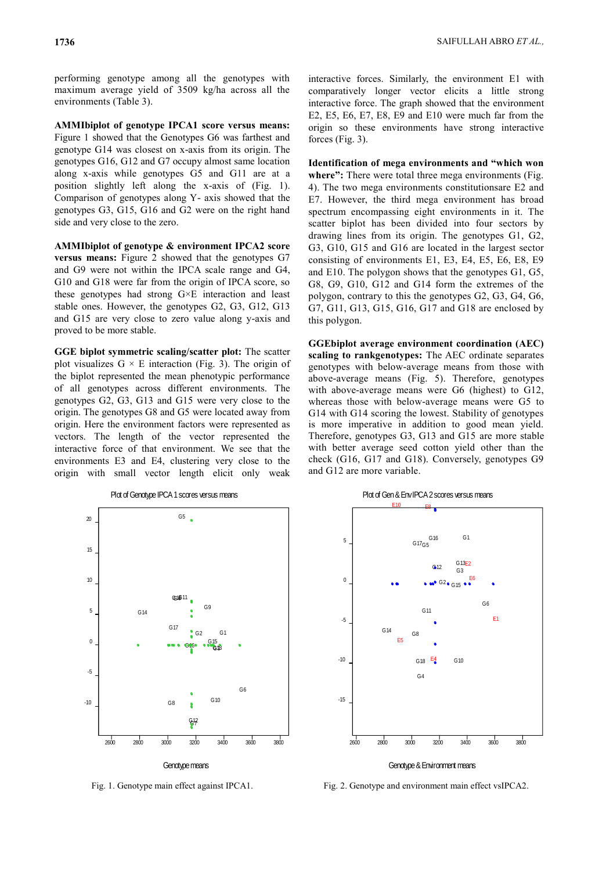performing genotype among all the genotypes with maximum average yield of 3509 kg/ha across all the environments (Table 3).

**AMMIbiplot of genotype IPCA1 score versus means:**  Figure 1 showed that the Genotypes G6 was farthest and genotype G14 was closest on x-axis from its origin. The genotypes G16, G12 and G7 occupy almost same location along x-axis while genotypes G5 and G11 are at a position slightly left along the x-axis of (Fig. 1). Comparison of genotypes along Y- axis showed that the genotypes G3, G15, G16 and G2 were on the right hand side and very close to the zero.

**AMMIbiplot of genotype & environment IPCA2 score versus means:** Figure 2 showed that the genotypes G7 and G9 were not within the IPCA scale range and G4, G10 and G18 were far from the origin of IPCA score, so these genotypes had strong G×E interaction and least stable ones. However, the genotypes G2, G3, G12, G13 and G15 are very close to zero value along y-axis and proved to be more stable.

**GGE biplot symmetric scaling/scatter plot:** The scatter plot visualizes  $G \times E$  interaction (Fig. 3). The origin of the biplot represented the mean phenotypic performance of all genotypes across different environments. The genotypes G2, G3, G13 and G15 were very close to the origin. The genotypes G8 and G5 were located away from origin. Here the environment factors were represented as vectors. The length of the vector represented the interactive force of that environment. We see that the environments E3 and E4, clustering very close to the origin with small vector length elicit only weak

> Plot of Genotype IPCA 1 scores versus means G18 G17 G<sub>9</sub> G16 G7 G15  $G5$ G14 G 3  $G<sub>1</sub>$ G13  $G<sub>6</sub>$ G 4 G2 G<sub>8</sub> G12 G11 G10 2600 -10 3000 -5 ا<br>3400 0 3800 5 10 15  $\infty$ 2800 3200 3600 Genotype means

interactive forces. Similarly, the environment E1 with comparatively longer vector elicits a little strong interactive force. The graph showed that the environment E2, E5, E6, E7, E8, E9 and E10 were much far from the origin so these environments have strong interactive forces (Fig. 3).

**Identification of mega environments and "which won**  where": There were total three mega environments (Fig. 4). The two mega environments constitutionsare E2 and E7. However, the third mega environment has broad spectrum encompassing eight environments in it. The scatter biplot has been divided into four sectors by drawing lines from its origin. The genotypes G1, G2, G3, G10, G15 and G16 are located in the largest sector consisting of environments E1, E3, E4, E5, E6, E8, E9 and E10. The polygon shows that the genotypes G1, G5, G8, G9, G10, G12 and G14 form the extremes of the polygon, contrary to this the genotypes G2, G3, G4, G6, G7, G11, G13, G15, G16, G17 and G18 are enclosed by this polygon.

**GGEbiplot average environment coordination (AEC) scaling to rankgenotypes:** The AEC ordinate separates genotypes with below-average means from those with above-average means (Fig. 5). Therefore, genotypes with above-average means were G6 (highest) to G12, whereas those with below-average means were G5 to G14 with G14 scoring the lowest. Stability of genotypes is more imperative in addition to good mean yield. Therefore, genotypes G3, G13 and G15 are more stable with better average seed cotton yield other than the check (G16, G17 and G18). Conversely, genotypes G9 and G12 are more variable.



Fig. 1. Genotype main effect against IPCA1. Fig. 2. Genotype and environment main effect vsIPCA2.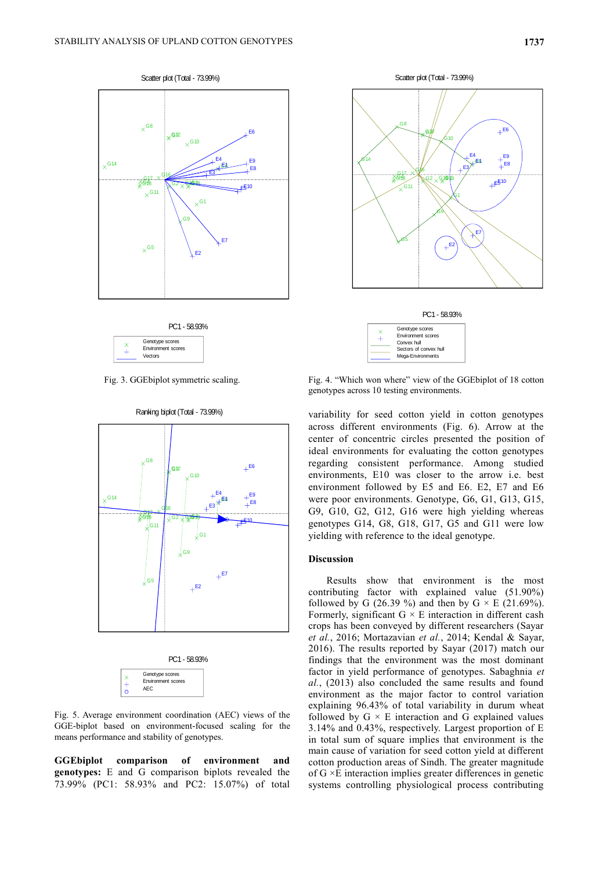







Fig. 5. Average environment coordination (AEC) views of the GGE-biplot based on environment-focused scaling for the means performance and stability of genotypes.

**GGEbiplot comparison of environment and genotypes:** E and G comparison biplots revealed the 73.99% (PC1: 58.93% and PC2: 15.07%) of total





Fig. 3. GGEbiplot symmetric scaling. Fig. 4. "Which won where" view of the GGEbiplot of 18 cotton genotypes across 10 testing environments.

variability for seed cotton yield in cotton genotypes across different environments (Fig. 6). Arrow at the center of concentric circles presented the position of ideal environments for evaluating the cotton genotypes regarding consistent performance. Among studied environments, E10 was closer to the arrow i.e. best environment followed by E5 and E6. E2, E7 and E6 were poor environments. Genotype, G6, G1, G13, G15, G9, G10, G2, G12, G16 were high yielding whereas genotypes G14, G8, G18, G17, G5 and G11 were low yielding with reference to the ideal genotype.

### **Discussion**

Results show that environment is the most contributing factor with explained value (51.90%) followed by G (26.39 %) and then by G  $\times$  E (21.69%). Formerly, significant  $G \times E$  interaction in different cash crops has been conveyed by different researchers (Sayar *et al.*, 2016; Mortazavian *et al.*, 2014; Kendal & Sayar, 2016). The results reported by Sayar (2017) match our findings that the environment was the most dominant factor in yield performance of genotypes. Sabaghnia *et al.*, (2013) also concluded the same results and found environment as the major factor to control variation explaining 96.43% of total variability in durum wheat followed by  $G \times E$  interaction and G explained values 3.14% and 0.43%, respectively. Largest proportion of E in total sum of square implies that environment is the main cause of variation for seed cotton yield at different cotton production areas of Sindh. The greater magnitude of G ×E interaction implies greater differences in genetic systems controlling physiological process contributing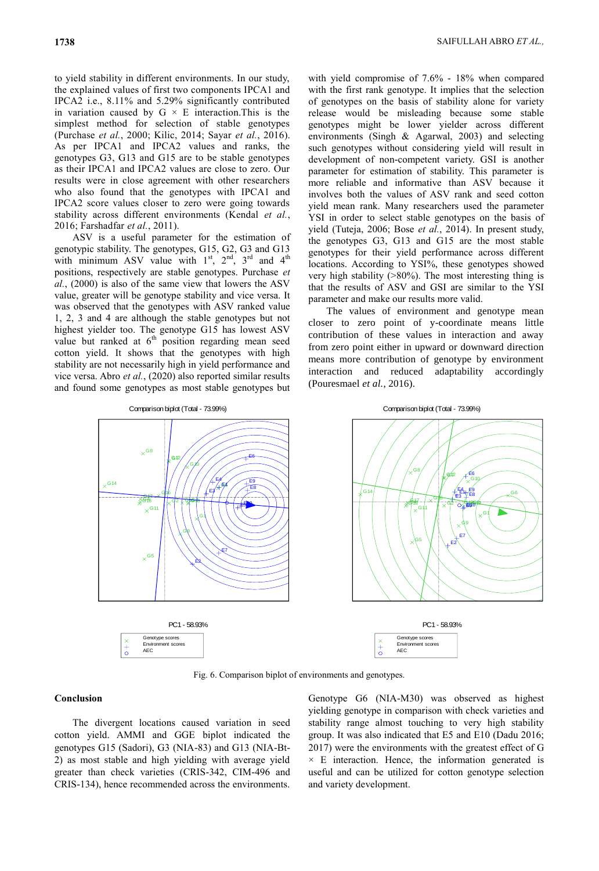to yield stability in different environments. In our study, the explained values of first two components IPCA1 and IPCA2 i.e., 8.11% and 5.29% significantly contributed in variation caused by  $G \times E$  interaction. This is the simplest method for selection of stable genotypes (Purchase *et al.*, 2000; Kilic, 2014; Sayar *et al.*, 2016). As per IPCA1 and IPCA2 values and ranks, the genotypes G3, G13 and G15 are to be stable genotypes as their IPCA1 and IPCA2 values are close to zero. Our results were in close agreement with other researchers who also found that the genotypes with IPCA1 and IPCA2 score values closer to zero were going towards stability across different environments (Kendal *et al.*, 2016; Farshadfar *et al.*, 2011).

ASV is a useful parameter for the estimation of genotypic stability. The genotypes, G15, G2, G3 and G13 with minimum ASV value with  $1<sup>st</sup>$ ,  $2<sup>nd</sup>$ ,  $3<sup>rd</sup>$  and  $4<sup>th</sup>$ positions, respectively are stable genotypes. Purchase *et al.*, (2000) is also of the same view that lowers the ASV value, greater will be genotype stability and vice versa. It was observed that the genotypes with ASV ranked value 1, 2, 3 and 4 are although the stable genotypes but not highest yielder too. The genotype G15 has lowest ASV value but ranked at  $6<sup>th</sup>$  position regarding mean seed cotton yield. It shows that the genotypes with high stability are not necessarily high in yield performance and vice versa. Abro *et al.*, (2020) also reported similar results and found some genotypes as most stable genotypes but

with yield compromise of 7.6% - 18% when compared with the first rank genotype. It implies that the selection of genotypes on the basis of stability alone for variety release would be misleading because some stable genotypes might be lower yielder across different environments (Singh & Agarwal, 2003) and selecting such genotypes without considering yield will result in development of non-competent variety. GSI is another parameter for estimation of stability. This parameter is more reliable and informative than ASV because it involves both the values of ASV rank and seed cotton yield mean rank. Many researchers used the parameter YSI in order to select stable genotypes on the basis of yield (Tuteja, 2006; Bose *et al.*, 2014). In present study, the genotypes G3, G13 and G15 are the most stable genotypes for their yield performance across different locations. According to YSI%, these genotypes showed very high stability (>80%). The most interesting thing is that the results of ASV and GSI are similar to the YSI parameter and make our results more valid.

The values of environment and genotype mean closer to zero point of y-coordinate means little contribution of these values in interaction and away from zero point either in upward or downward direction means more contribution of genotype by environment interaction and reduced adaptability accordingly (Pouresmael *et al.*, 2016).



Fig. 6. Comparison biplot of environments and genotypes.

### **Conclusion**

The divergent locations caused variation in seed cotton yield. AMMI and GGE biplot indicated the genotypes G15 (Sadori), G3 (NIA-83) and G13 (NIA-Bt-2) as most stable and high yielding with average yield greater than check varieties (CRIS-342, CIM-496 and CRIS-134), hence recommended across the environments.

Genotype G6 (NIA-M30) was observed as highest yielding genotype in comparison with check varieties and stability range almost touching to very high stability group. It was also indicated that E5 and E10 (Dadu 2016; 2017) were the environments with the greatest effect of G  $\times$  E interaction. Hence, the information generated is useful and can be utilized for cotton genotype selection and variety development.